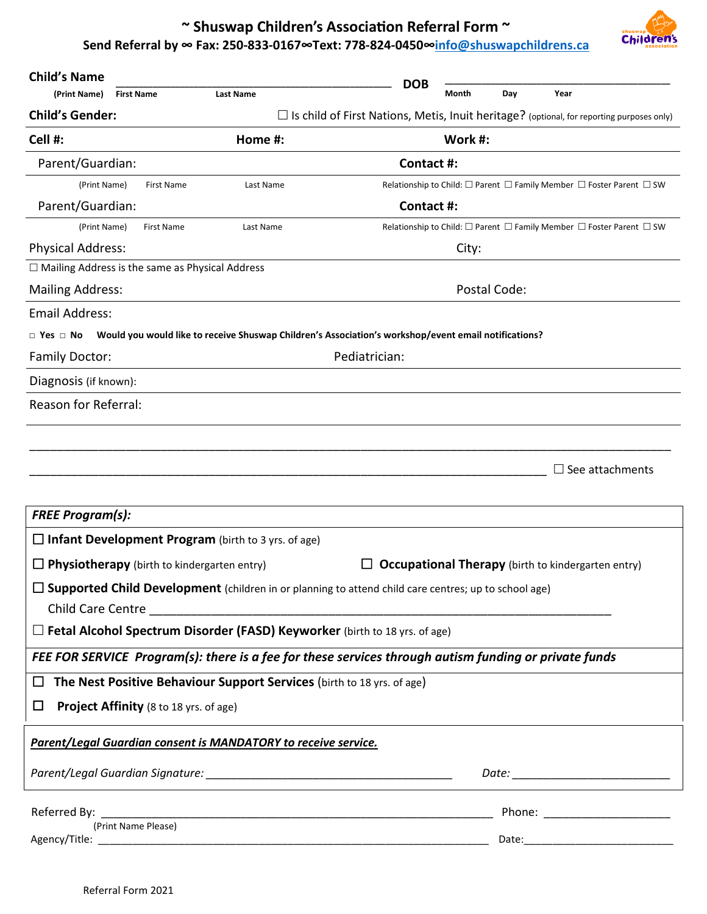## **~ Shuswap Children's Associa�on Referral Form ~ Send Referral by ∞ Fax: 250-833-0167∞Text: 778-824-0450∞[info@shuswapchildrens.ca](mailto:info@shuswapchildrens.ca)**



| <b>Child's Name</b>                                                                                    |                                                                                                                                                                                                                                    | <b>DOB</b>                                                           |         |              |                                                                                                  |
|--------------------------------------------------------------------------------------------------------|------------------------------------------------------------------------------------------------------------------------------------------------------------------------------------------------------------------------------------|----------------------------------------------------------------------|---------|--------------|--------------------------------------------------------------------------------------------------|
| (Print Name)<br><b>First Name</b>                                                                      | <b>Last Name</b>                                                                                                                                                                                                                   |                                                                      | Month   | Day          | Year                                                                                             |
| <b>Child's Gender:</b>                                                                                 |                                                                                                                                                                                                                                    |                                                                      |         |              | $\Box$ Is child of First Nations, Metis, Inuit heritage? (optional, for reporting purposes only) |
| Cell #:                                                                                                | Home #:                                                                                                                                                                                                                            |                                                                      | Work #: |              |                                                                                                  |
| Parent/Guardian:                                                                                       |                                                                                                                                                                                                                                    | Contact #:                                                           |         |              |                                                                                                  |
| (Print Name)<br><b>First Name</b>                                                                      | Last Name                                                                                                                                                                                                                          | Relationship to Child: □ Parent □ Family Member □ Foster Parent □ SW |         |              |                                                                                                  |
| Parent/Guardian:                                                                                       |                                                                                                                                                                                                                                    | Contact #:                                                           |         |              |                                                                                                  |
| (Print Name)<br>First Name                                                                             | Last Name                                                                                                                                                                                                                          |                                                                      |         |              | Relationship to Child: □ Parent □ Family Member □ Foster Parent □ SW                             |
| <b>Physical Address:</b>                                                                               |                                                                                                                                                                                                                                    |                                                                      | City:   |              |                                                                                                  |
| $\Box$ Mailing Address is the same as Physical Address                                                 |                                                                                                                                                                                                                                    |                                                                      |         |              |                                                                                                  |
| <b>Mailing Address:</b>                                                                                |                                                                                                                                                                                                                                    |                                                                      |         | Postal Code: |                                                                                                  |
| <b>Email Address:</b>                                                                                  |                                                                                                                                                                                                                                    |                                                                      |         |              |                                                                                                  |
| $\Box$ Yes $\Box$ No                                                                                   | Would you would like to receive Shuswap Children's Association's workshop/event email notifications?                                                                                                                               |                                                                      |         |              |                                                                                                  |
| <b>Family Doctor:</b>                                                                                  |                                                                                                                                                                                                                                    | Pediatrician:                                                        |         |              |                                                                                                  |
| Diagnosis (if known):                                                                                  |                                                                                                                                                                                                                                    |                                                                      |         |              |                                                                                                  |
| Reason for Referral:                                                                                   |                                                                                                                                                                                                                                    |                                                                      |         |              |                                                                                                  |
|                                                                                                        |                                                                                                                                                                                                                                    |                                                                      |         |              |                                                                                                  |
|                                                                                                        |                                                                                                                                                                                                                                    |                                                                      |         |              |                                                                                                  |
|                                                                                                        |                                                                                                                                                                                                                                    |                                                                      |         |              | See attachments                                                                                  |
|                                                                                                        |                                                                                                                                                                                                                                    |                                                                      |         |              |                                                                                                  |
| <b>FREE Program(s):</b>                                                                                |                                                                                                                                                                                                                                    |                                                                      |         |              |                                                                                                  |
| $\Box$ Infant Development Program (birth to 3 yrs. of age)                                             |                                                                                                                                                                                                                                    |                                                                      |         |              |                                                                                                  |
| $\Box$ Physiotherapy (birth to kindergarten entry)                                                     |                                                                                                                                                                                                                                    |                                                                      |         |              | <b>Occupational Therapy</b> (birth to kindergarten entry)                                        |
| □ Supported Child Development (children in or planning to attend child care centres; up to school age) |                                                                                                                                                                                                                                    |                                                                      |         |              |                                                                                                  |
|                                                                                                        | Child Care Centre <b>Exercise Services</b> and the control of the control of the control of the control of the control of the control of the control of the control of the control of the control of the control of the control of |                                                                      |         |              |                                                                                                  |
| □ Fetal Alcohol Spectrum Disorder (FASD) Keyworker (birth to 18 yrs. of age)                           |                                                                                                                                                                                                                                    |                                                                      |         |              |                                                                                                  |
| FEE FOR SERVICE Program(s): there is a fee for these services through autism funding or private funds  |                                                                                                                                                                                                                                    |                                                                      |         |              |                                                                                                  |
| □                                                                                                      | The Nest Positive Behaviour Support Services (birth to 18 yrs. of age)                                                                                                                                                             |                                                                      |         |              |                                                                                                  |
| <b>Project Affinity</b> (8 to 18 yrs. of age)<br>□                                                     |                                                                                                                                                                                                                                    |                                                                      |         |              |                                                                                                  |
|                                                                                                        |                                                                                                                                                                                                                                    |                                                                      |         |              |                                                                                                  |
| Parent/Legal Guardian consent is MANDATORY to receive service.                                         |                                                                                                                                                                                                                                    |                                                                      |         |              |                                                                                                  |
|                                                                                                        |                                                                                                                                                                                                                                    |                                                                      |         |              |                                                                                                  |
|                                                                                                        |                                                                                                                                                                                                                                    |                                                                      |         |              |                                                                                                  |
| Referred By:<br>(Print Name Please)                                                                    | <u> 1989 - Johann John Harry, mars and de film and de film and de film and de film and de film and de film and de</u>                                                                                                              |                                                                      |         |              | Phone: _______________________                                                                   |
| Agency/Title:                                                                                          |                                                                                                                                                                                                                                    |                                                                      |         |              |                                                                                                  |